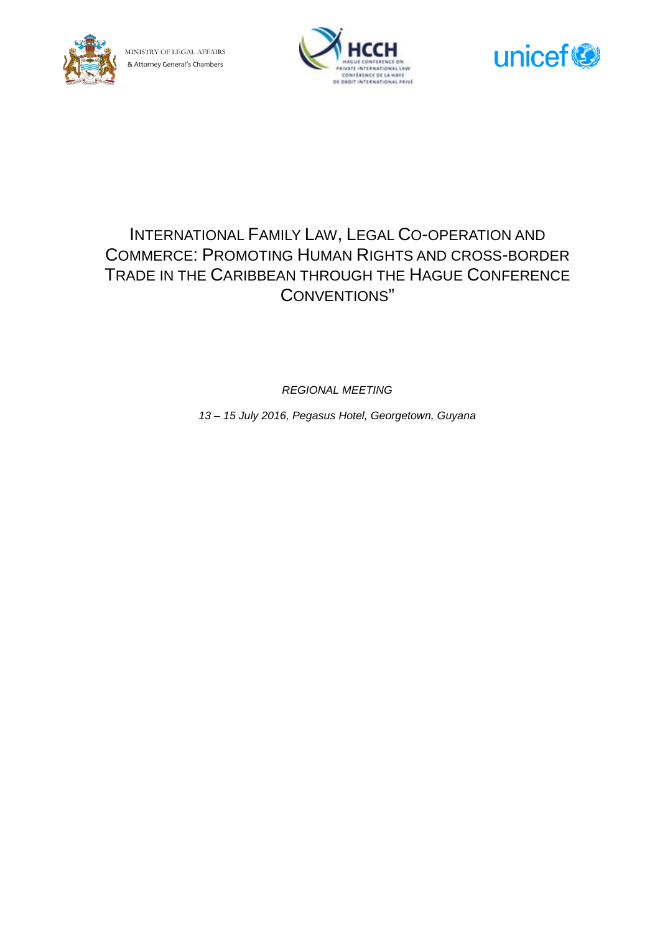





# INTERNATIONAL FAMILY LAW, LEGAL CO-OPERATION AND COMMERCE: PROMOTING HUMAN RIGHTS AND CROSS-BORDER TRADE IN THE CARIBBEAN THROUGH THE HAGUE CONFERENCE CONVENTIONS"

*REGIONAL MEETING*

*13 – 15 July 2016, Pegasus Hotel, Georgetown, Guyana*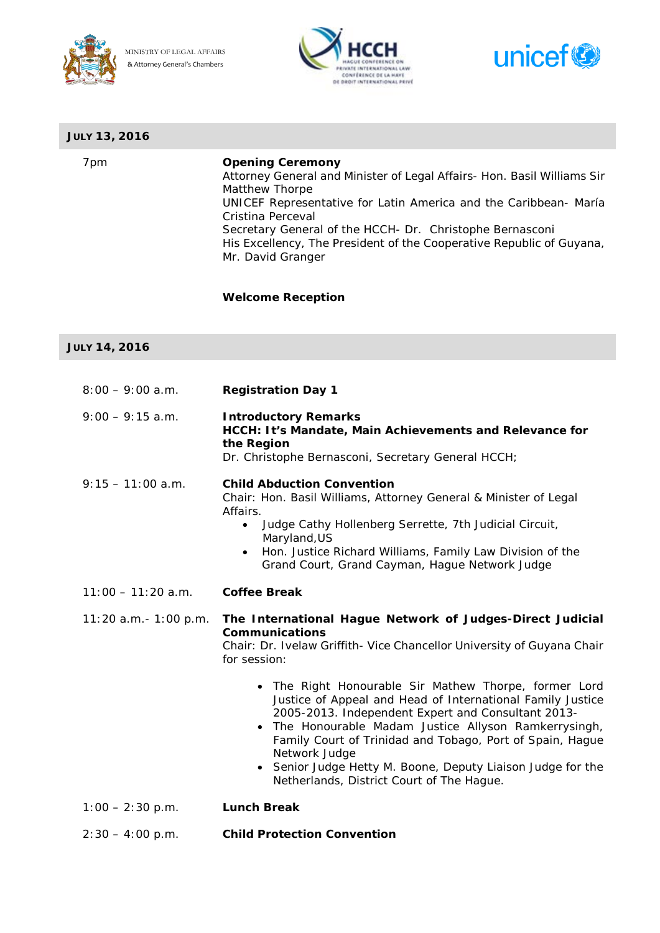





| <b>JULY 13, 2016</b> |                                                                                                                                                                                                                                                                                                                                                                                                                                                                                                                                                                                                                                    |
|----------------------|------------------------------------------------------------------------------------------------------------------------------------------------------------------------------------------------------------------------------------------------------------------------------------------------------------------------------------------------------------------------------------------------------------------------------------------------------------------------------------------------------------------------------------------------------------------------------------------------------------------------------------|
| 7pm                  | <b>Opening Ceremony</b><br>Attorney General and Minister of Legal Affairs- Hon. Basil Williams Sir<br>Matthew Thorpe<br>UNICEF Representative for Latin America and the Caribbean- María<br>Cristina Perceval<br>Secretary General of the HCCH- Dr. Christophe Bernasconi<br>His Excellency, The President of the Cooperative Republic of Guyana,<br>Mr. David Granger                                                                                                                                                                                                                                                             |
|                      | <b>Welcome Reception</b>                                                                                                                                                                                                                                                                                                                                                                                                                                                                                                                                                                                                           |
| <b>JULY 14, 2016</b> |                                                                                                                                                                                                                                                                                                                                                                                                                                                                                                                                                                                                                                    |
| $8:00 - 9:00$ a.m.   | <b>Registration Day 1</b>                                                                                                                                                                                                                                                                                                                                                                                                                                                                                                                                                                                                          |
| $9:00 - 9:15$ a.m.   | <b>Introductory Remarks</b><br>HCCH: It's Mandate, Main Achievements and Relevance for<br>the Region<br>Dr. Christophe Bernasconi, Secretary General HCCH;                                                                                                                                                                                                                                                                                                                                                                                                                                                                         |
| $9:15 - 11:00$ a.m.  | <b>Child Abduction Convention</b><br>Chair: Hon. Basil Williams, Attorney General & Minister of Legal<br>Affairs.<br>Judge Cathy Hollenberg Serrette, 7th Judicial Circuit,<br>$\bullet$<br>Maryland, US<br>Hon. Justice Richard Williams, Family Law Division of the<br>Grand Court, Grand Cayman, Hague Network Judge                                                                                                                                                                                                                                                                                                            |
| $11:00 - 11:20$ a.m. | <b>Coffee Break</b>                                                                                                                                                                                                                                                                                                                                                                                                                                                                                                                                                                                                                |
|                      | 11:20 a.m.- 1:00 p.m. The International Hague Network of Judges-Direct Judicial<br><b>Communications</b><br>Chair: Dr. Ivelaw Griffith- Vice Chancellor University of Guyana Chair<br>for session:<br>• The Right Honourable Sir Mathew Thorpe, former Lord<br>Justice of Appeal and Head of International Family Justice<br>2005-2013. Independent Expert and Consultant 2013-<br>• The Honourable Madam Justice Allyson Ramkerrysingh,<br>Family Court of Trinidad and Tobago, Port of Spain, Hague<br>Network Judge<br>• Senior Judge Hetty M. Boone, Deputy Liaison Judge for the<br>Netherlands, District Court of The Hague. |
| $1:00 - 2:30$ p.m.   | <b>Lunch Break</b>                                                                                                                                                                                                                                                                                                                                                                                                                                                                                                                                                                                                                 |
| $2:30 - 4:00$ p.m.   | <b>Child Protection Convention</b>                                                                                                                                                                                                                                                                                                                                                                                                                                                                                                                                                                                                 |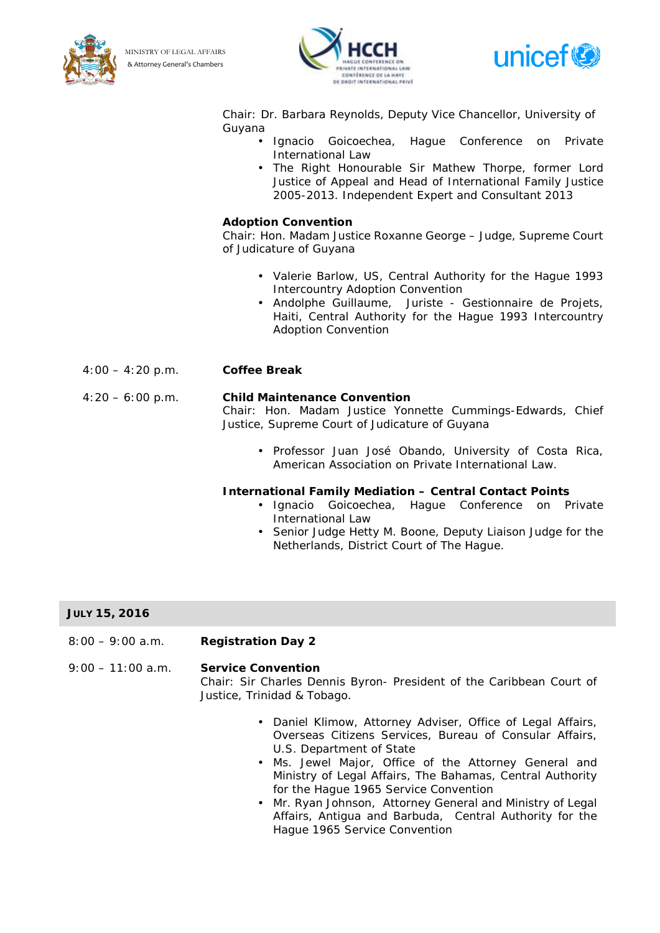

MINISTRY OF LEGAL AFFAIRS & Attorney General's Chambers





Chair: Dr. Barbara Reynolds, Deputy Vice Chancellor, University of Guyana

- Ignacio Goicoechea, Hague Conference on Private International Law
	- The Right Honourable Sir Mathew Thorpe, former Lord Justice of Appeal and Head of International Family Justice 2005-2013. Independent Expert and Consultant 2013

## **Adoption Convention**

Chair: Hon. Madam Justice Roxanne George – Judge, Supreme Court of Judicature of Guyana

- Valerie Barlow, US, Central Authority for the Hague 1993 Intercountry Adoption Convention
- Andolphe Guillaume, Juriste Gestionnaire de Projets, Haiti, Central Authority for the Hague 1993 Intercountry Adoption Convention

## 4:00 – 4:20 p.m. **Coffee Break**

## 4:20 – 6:00 p.m. **Child Maintenance Convention**

Chair: Hon. Madam Justice Yonnette Cummings-Edwards, Chief Justice, Supreme Court of Judicature of Guyana

• Professor Juan José Obando, University of Costa Rica, American Association on Private International Law.

## **International Family Mediation – Central Contact Points**

- Ignacio Goicoechea, Hague Conference on Private International Law
- Senior Judge Hetty M. Boone, Deputy Liaison Judge for the Netherlands, District Court of The Hague.

# **JULY 15, 2016**

8:00 – 9:00 a.m. **Registration Day 2**

9:00 – 11:00 a.m. **Service Convention**

Chair: Sir Charles Dennis Byron- President of the Caribbean Court of Justice, Trinidad & Tobago.

- Daniel Klimow, Attorney Adviser, Office of Legal Affairs, Overseas Citizens Services, Bureau of Consular Affairs, U.S. Department of State
- Ms. Jewel Major, Office of the Attorney General and Ministry of Legal Affairs, The Bahamas, Central Authority for the Hague 1965 Service Convention
- Mr. Ryan Johnson, Attorney General and Ministry of Legal Affairs, Antigua and Barbuda, Central Authority for the Hague 1965 Service Convention